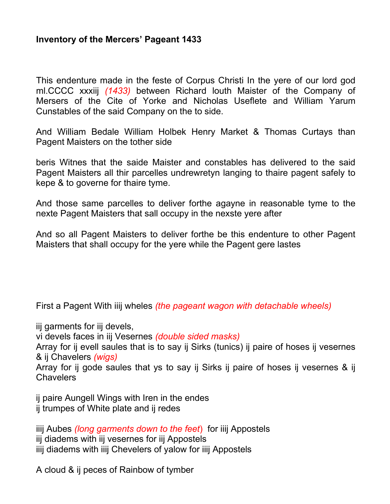## **Inventory of the Mercers' Pageant 1433**

This endenture made in the feste of Corpus Christi In the yere of our lord god ml.CCCC xxxiij *(1433)* between Richard louth Maister of the Company of Mersers of the Cite of Yorke and Nicholas Useflete and William Yarum Cunstables of the said Company on the to side.

And William Bedale William Holbek Henry Market & Thomas Curtays than Pagent Maisters on the tother side

beris Witnes that the saide Maister and constables has delivered to the said Pagent Maisters all thir parcelles undrewretyn langing to thaire pagent safely to kepe & to governe for thaire tyme.

And those same parcelles to deliver forthe agayne in reasonable tyme to the nexte Pagent Maisters that sall occupy in the nexste yere after

And so all Pagent Maisters to deliver forthe be this endenture to other Pagent Maisters that shall occupy for the yere while the Pagent gere lastes

First a Pagent With iiij wheles *(the pageant wagon with detachable wheels)*

iij garments for iij devels,

vi devels faces in iij Vesernes *(double sided masks)*

Array for ij evell saules that is to say ij Sirks (tunics) ij paire of hoses ij vesernes & ij Chavelers *(wigs)*

Array for ij gode saules that ys to say ij Sirks ij paire of hoses ij vesernes & ij Chavelers

ij paire Aungell Wings with Iren in the endes ij trumpes of White plate and ij redes

iiij Aubes *(long garments down to the feet*) for iiij Appostels iij diadems with iij vesernes for iij Appostels iiij diadems with iiij Chevelers of yalow for iiij Appostels

A cloud & ij peces of Rainbow of tymber